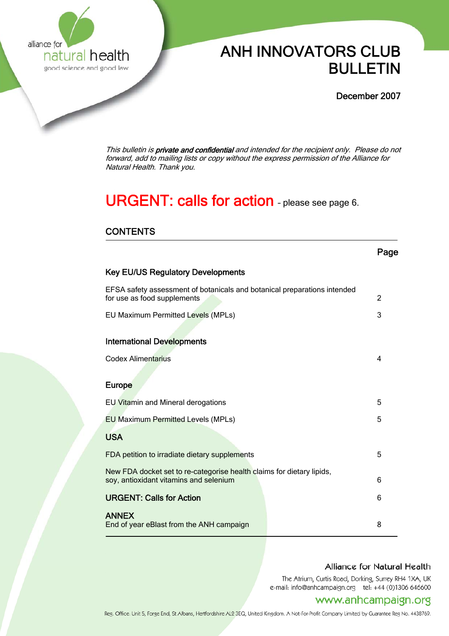

# ANH INNOVATORS CLUB **natural health ANH INNOVATORS CLUB**<br><sub>sood science and sood law</sub> **BULLETIN**

December 2007

This bulletin is private and confidential and intended for the recipient only. Please do not forward, add to mailing lists or copy without the express permission of the Alliance for Natural Health. Thank you.

# URGENT: calls for action - please see page 6.

# **CONTENTS**

|                                                                                                                 | Page |
|-----------------------------------------------------------------------------------------------------------------|------|
| <b>Key EU/US Regulatory Developments</b>                                                                        |      |
| EFSA safety assessment of botanicals and botanical preparations intended<br>for use as food supplements         | 2    |
| EU Maximum Permitted Levels (MPLs)                                                                              | 3    |
|                                                                                                                 |      |
| <b>International Developments</b>                                                                               |      |
| <b>Codex Alimentarius</b>                                                                                       | 4    |
|                                                                                                                 |      |
| Europe                                                                                                          |      |
| EU Vitamin and Mineral derogations                                                                              | 5    |
| <b>EU Maximum Permitted Levels (MPLs)</b>                                                                       | 5    |
| <b>USA</b>                                                                                                      |      |
| FDA petition to irradiate dietary supplements                                                                   | 5    |
| New FDA docket set to re-categorise health claims for dietary lipids,<br>soy, antioxidant vitamins and selenium | 6    |
| <b>URGENT: Calls for Action</b>                                                                                 | 6    |
| <b>ANNEX</b><br>End of year eBlast from the ANH campaign                                                        | 8    |

## Alliance for Natural Health

The Atrium, Curtis Road, Dorking, Surrey RH4 1XA, UK e-mail: info@anhcampaign.org tel: +44 (0)1306 646600

# www.anhcampaign.org

Reg. Office: Unit 5, Forge End, St Albans, Hertfordshire AL2 3EQ, United Kingdom. A Not-For-Profit Company Limited by Guarantee Reg No. 4438769.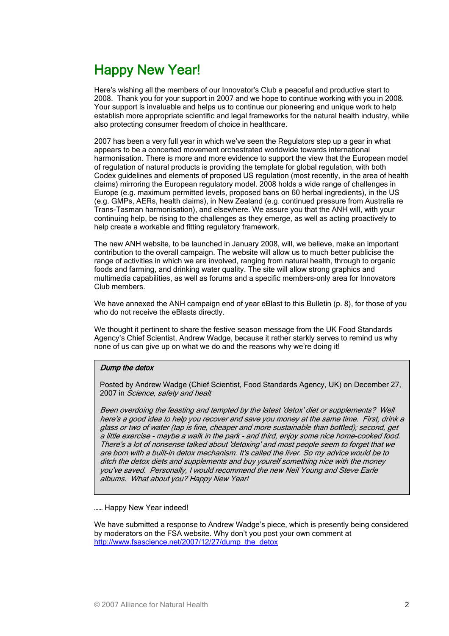# Happy New Year!

Here's wishing all the members of our Innovator's Club a peaceful and productive start to 2008. Thank you for your support in 2007 and we hope to continue working with you in 2008. Your support is invaluable and helps us to continue our pioneering and unique work to help establish more appropriate scientific and legal frameworks for the natural health industry, while also protecting consumer freedom of choice in healthcare.

2007 has been a very full year in which we've seen the Regulators step up a gear in what appears to be a concerted movement orchestrated worldwide towards international harmonisation. There is more and more evidence to support the view that the European model of regulation of natural products is providing the template for global regulation, with both Codex guidelines and elements of proposed US regulation (most recently, in the area of health claims) mirroring the European regulatory model. 2008 holds a wide range of challenges in Europe (e.g. maximum permitted levels, proposed bans on 60 herbal ingredients), in the US (e.g. GMPs, AERs, health claims), in New Zealand (e.g. continued pressure from Australia re Trans-Tasman harmonisation), and elsewhere. We assure you that the ANH will, with your continuing help, be rising to the challenges as they emerge, as well as acting proactively to help create a workable and fitting regulatory framework.

The new ANH website, to be launched in January 2008, will, we believe, make an important contribution to the overall campaign. The website will allow us to much better publicise the range of activities in which we are involved, ranging from natural health, through to organic foods and farming, and drinking water quality. The site will allow strong graphics and multimedia capabilities, as well as forums and a specific members-only area for Innovators Club members.

We have annexed the ANH campaign end of year eBlast to this Bulletin (p. 8), for those of you who do not receive the eBlasts directly.

We thought it pertinent to share the festive season message from the UK Food Standards Agency's Chief Scientist, Andrew Wadge, because it rather starkly serves to remind us why none of us can give up on what we do and the reasons why we're doing it!

### Dump the detox

Posted by Andrew Wadge (Chief Scientist, Food Standards Agency, UK) on December 27, 2007 in Science, safety and healt

Been overdoing the feasting and tempted by the latest 'detox' diet or supplements? Well here's a good idea to help you recover and save you money at the same time. First, drink a glass or two of water (tap is fine, cheaper and more sustainable than bottled); second, get a little exercise - maybe a walk in the park - and third, enjoy some nice home-cooked food. There's a lot of nonsense talked about 'detoxing' and most people seem to forget that we are born with a built-in detox mechanism. It's called the liver. So my advice would be to ditch the detox diets and supplements and buy yourelf something nice with the money you've saved. Personally, I would recommend the new Neil Young and Steve Earle albums. What about you? Happy New Year!

#### ...... Happy New Year indeed!

We have submitted a response to Andrew Wadge's piece, which is presently being considered by moderators on the FSA website. Why don't you post your own comment at [http://www.fsascience.net/2007/12/27/dump\\_the\\_detox](http://www.fsascience.net/2007/12/27/dump_the_detox)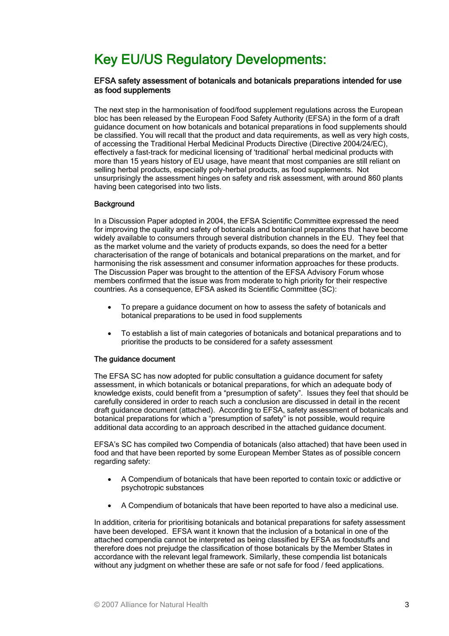# Key EU/US Regulatory Developments:

### EFSA safety assessment of botanicals and botanicals preparations intended for use as food supplements

The next step in the harmonisation of food/food supplement regulations across the European bloc has been released by the European Food Safety Authority (EFSA) in the form of a draft guidance document on how botanicals and botanical preparations in food supplements should be classified. You will recall that the product and data requirements, as well as very high costs, of accessing the Traditional Herbal Medicinal Products Directive (Directive 2004/24/EC), effectively a fast-track for medicinal licensing of 'traditional' herbal medicinal products with more than 15 years history of EU usage, have meant that most companies are still reliant on selling herbal products, especially poly-herbal products, as food supplements. Not unsurprisingly the assessment hinges on safety and risk assessment, with around 860 plants having been categorised into two lists.

### **Background**

In a Discussion Paper adopted in 2004, the EFSA Scientific Committee expressed the need for improving the quality and safety of botanicals and botanical preparations that have become widely available to consumers through several distribution channels in the EU. They feel that as the market volume and the variety of products expands, so does the need for a better characterisation of the range of botanicals and botanical preparations on the market, and for harmonising the risk assessment and consumer information approaches for these products. The Discussion Paper was brought to the attention of the EFSA Advisory Forum whose members confirmed that the issue was from moderate to high priority for their respective countries. As a consequence, EFSA asked its Scientific Committee (SC):

- To prepare a guidance document on how to assess the safety of botanicals and botanical preparations to be used in food supplements
- To establish a list of main categories of botanicals and botanical preparations and to prioritise the products to be considered for a safety assessment

#### The guidance document

The EFSA SC has now adopted for public consultation a guidance document for safety assessment, in which botanicals or botanical preparations, for which an adequate body of knowledge exists, could benefit from a "presumption of safety". Issues they feel that should be carefully considered in order to reach such a conclusion are discussed in detail in the recent draft guidance document (attached). According to EFSA, safety assessment of botanicals and botanical preparations for which a "presumption of safety" is not possible, would require additional data according to an approach described in the attached guidance document.

EFSA's SC has compiled two Compendia of botanicals (also attached) that have been used in food and that have been reported by some European Member States as of possible concern regarding safety:

- A Compendium of botanicals that have been reported to contain toxic or addictive or psychotropic substances
- A Compendium of botanicals that have been reported to have also a medicinal use.

In addition, criteria for prioritising botanicals and botanical preparations for safety assessment have been developed. EFSA want it known that the inclusion of a botanical in one of the attached compendia cannot be interpreted as being classified by EFSA as foodstuffs and therefore does not prejudge the classification of those botanicals by the Member States in accordance with the relevant legal framework. Similarly, these compendia list botanicals without any judgment on whether these are safe or not safe for food / feed applications.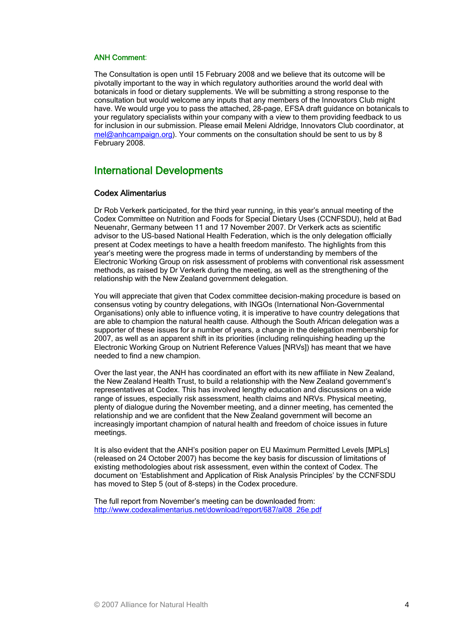#### ANH Comment:

The Consultation is open until 15 February 2008 and we believe that its outcome will be pivotally important to the way in which regulatory authorities around the world deal with botanicals in food or dietary supplements. We will be submitting a strong response to the consultation but would welcome any inputs that any members of the Innovators Club might have. We would urge you to pass the attached, 28-page, EFSA draft guidance on botanicals to your regulatory specialists within your company with a view to them providing feedback to us for inclusion in our submission. Please email Meleni Aldridge, Innovators Club coordinator, at [mel@anhcampaign.org\)](mailto:mel@anhcampaign.org). Your comments on the consultation should be sent to us by 8 February 2008.

## International Developments

#### Codex Alimentarius

Dr Rob Verkerk participated, for the third year running, in this year's annual meeting of the Codex Committee on Nutrition and Foods for Special Dietary Uses (CCNFSDU), held at Bad Neuenahr, Germany between 11 and 17 November 2007. Dr Verkerk acts as scientific advisor to the US-based National Health Federation, which is the only delegation officially present at Codex meetings to have a health freedom manifesto. The highlights from this year's meeting were the progress made in terms of understanding by members of the Electronic Working Group on risk assessment of problems with conventional risk assessment methods, as raised by Dr Verkerk during the meeting, as well as the strengthening of the relationship with the New Zealand government delegation.

You will appreciate that given that Codex committee decision-making procedure is based on consensus voting by country delegations, with INGOs (International Non-Governmental Organisations) only able to influence voting, it is imperative to have country delegations that are able to champion the natural health cause. Although the South African delegation was a supporter of these issues for a number of years, a change in the delegation membership for 2007, as well as an apparent shift in its priorities (including relinquishing heading up the Electronic Working Group on Nutrient Reference Values [NRVs]) has meant that we have needed to find a new champion.

Over the last year, the ANH has coordinated an effort with its new affiliate in New Zealand, the New Zealand Health Trust, to build a relationship with the New Zealand government's representatives at Codex. This has involved lengthy education and discussions on a wide range of issues, especially risk assessment, health claims and NRVs. Physical meeting, plenty of dialogue during the November meeting, and a dinner meeting, has cemented the relationship and we are confident that the New Zealand government will become an increasingly important champion of natural health and freedom of choice issues in future meetings.

It is also evident that the ANH's position paper on EU Maximum Permitted Levels [MPLs] (released on 24 October 2007) has become the key basis for discussion of limitations of existing methodologies about risk assessment, even within the context of Codex. The document on 'Establishment and Application of Risk Analysis Principles' by the CCNFSDU has moved to Step 5 (out of 8-steps) in the Codex procedure.

The full report from November's meeting can be downloaded from: [http://www.codexalimentarius.net/download/report/687/al08\\_26e.pdf](http://www.codexalimentarius.net/download/report/687/al08_26e.pdf)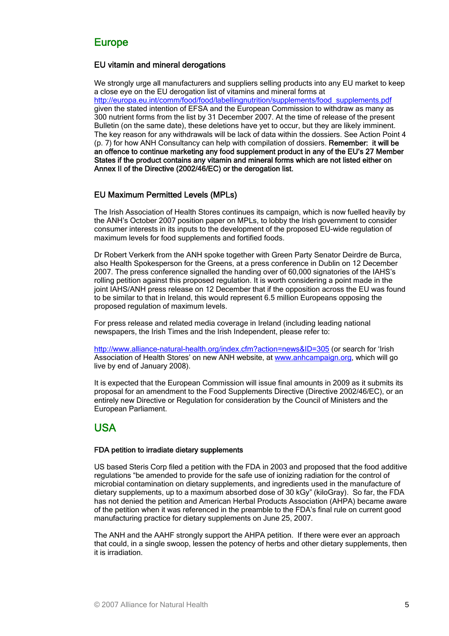# Europe

## EU vitamin and mineral derogations

We strongly urge all manufacturers and suppliers selling products into any EU market to keep a close eye on the EU derogation list of vitamins and mineral forms at [http://europa.eu.int/comm/food/food/labellingnutrition/supplements/food\\_supplements.pdf](http://europa.eu.int/comm/food/food/labellingnutrition/supplements/food_supplements.pdf) given the stated intention of EFSA and the European Commission to withdraw as many as 300 nutrient forms from the list by 31 December 2007. At the time of release of the present Bulletin (on the same date), these deletions have yet to occur, but they are likely imminent. The key reason for any withdrawals will be lack of data within the dossiers. See Action Point 4 (p. 7) for how ANH Consultancy can help with compilation of dossiers. Remember: it will be an offence to continue marketing any food supplement product in any of the EU's 27 Member States if the product contains any vitamin and mineral forms which are not listed either on Annex II of the Directive (2002/46/EC) or the derogation list.

## EU Maximum Permitted Levels (MPLs)

The Irish Association of Health Stores continues its campaign, which is now fuelled heavily by the ANH's October 2007 position paper on MPLs, to lobby the Irish government to consider consumer interests in its inputs to the development of the proposed EU-wide regulation of maximum levels for food supplements and fortified foods.

Dr Robert Verkerk from the ANH spoke together with Green Party Senator Deirdre de Burca, also Health Spokesperson for the Greens, at a press conference in Dublin on 12 December 2007. The press conference signalled the handing over of 60,000 signatories of the IAHS's rolling petition against this proposed regulation. It is worth considering a point made in the joint IAHS/ANH press release on 12 December that if the opposition across the EU was found to be similar to that in Ireland, this would represent 6.5 million Europeans opposing the proposed regulation of maximum levels.

For press release and related media coverage in Ireland (including leading national newspapers, the Irish Times and the Irish Independent, please refer to:

<http://www.alliance-natural-health.org/index.cfm?action=news&ID=305> (or search for 'Irish Association of Health Stores' on new ANH website, at [www.anhcampaign.org,](http://www.anhcampaign.org/) which will go live by end of January 2008).

It is expected that the European Commission will issue final amounts in 2009 as it submits its proposal for an amendment to the Food Supplements Directive (Directive 2002/46/EC), or an entirely new Directive or Regulation for consideration by the Council of Ministers and the European Parliament.

# USA

### FDA petition to irradiate dietary supplements

US based Steris Corp filed a petition with the FDA in 2003 and proposed that the food additive regulations "be amended to provide for the safe use of ionizing radiation for the control of microbial contamination on dietary supplements, and ingredients used in the manufacture of dietary supplements, up to a maximum absorbed dose of 30 kGy" (kiloGray). So far, the FDA has not denied the petition and American Herbal Products Association (AHPA) became aware of the petition when it was referenced in the preamble to the FDA's final rule on current good manufacturing practice for dietary supplements on June 25, 2007.

The ANH and the AAHF strongly support the AHPA petition. If there were ever an approach that could, in a single swoop, lessen the potency of herbs and other dietary supplements, then it is irradiation.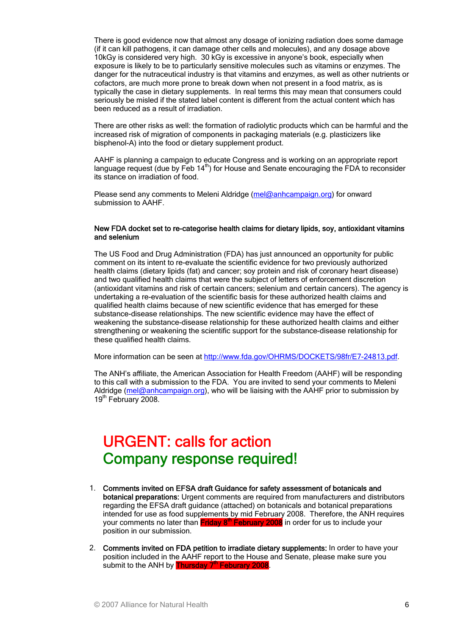There is good evidence now that almost any dosage of ionizing radiation does some damage (if it can kill pathogens, it can damage other cells and molecules), and any dosage above 10kGy is considered very high. 30 kGy is excessive in anyone's book, especially when exposure is likely to be to particularly sensitive molecules such as vitamins or enzymes. The danger for the nutraceutical industry is that vitamins and enzymes, as well as other nutrients or cofactors, are much more prone to break down when not present in a food matrix, as is typically the case in dietary supplements. In real terms this may mean that consumers could seriously be misled if the stated label content is different from the actual content which has been reduced as a result of irradiation.

There are other risks as well: the formation of radiolytic products which can be harmful and the increased risk of migration of components in packaging materials (e.g. plasticizers like bisphenol-A) into the food or dietary supplement product.

AAHF is planning a campaign to educate Congress and is working on an appropriate report language request (due by Feb 14<sup>th</sup>) for House and Senate encouraging the FDA to reconsider its stance on irradiation of food.

Please send any comments to Meleni Aldridge ([mel@anhcampaign.org\)](mailto:mel@anhcampaign.org) for onward submission to AAHF.

#### New FDA docket set to re-categorise health claims for dietary lipids, soy, antioxidant vitamins and selenium

The US Food and Drug Administration (FDA) has just announced an opportunity for public comment on its intent to re-evaluate the scientific evidence for two previously authorized health claims (dietary lipids (fat) and cancer; soy protein and risk of coronary heart disease) and two qualified health claims that were the subject of letters of enforcement discretion (antioxidant vitamins and risk of certain cancers; selenium and certain cancers). The agency is undertaking a re-evaluation of the scientific basis for these authorized health claims and qualified health claims because of new scientific evidence that has emerged for these substance-disease relationships. The new scientific evidence may have the effect of weakening the substance-disease relationship for these authorized health claims and either strengthening or weakening the scientific support for the substance-disease relationship for these qualified health claims.

More information can be seen at [http://www.fda.gov/OHRMS/DOCKETS/98fr/E7-24813.pdf.](http://www.fda.gov/OHRMS/DOCKETS/98fr/E7-24813.pdf)

The ANH's affiliate, the American Association for Health Freedom (AAHF) will be responding to this call with a submission to the FDA. You are invited to send your comments to Meleni Aldridge ([mel@anhcampaign.org](mailto:mel@anhcampaign.org)), who will be liaising with the AAHF prior to submission by 19th February 2008.

# URGENT: calls for action Company response required!

- 1. Comments invited on EFSA draft Guidance for safety assessment of botanicals and botanical preparations: Urgent comments are required from manufacturers and distributors regarding the EFSA draft guidance (attached) on botanicals and botanical preparations intended for use as food supplements by mid February 2008. Therefore, the ANH requires your comments no later than Friday 8<sup>th</sup> February 2008 in order for us to include your position in our submission.
- 2. Comments invited on FDA petition to irradiate dietary supplements: In order to have your position included in the AAHF report to the House and Senate, please make sure you submit to the ANH by **Thursday 7<sup>th</sup> Feburary 2008**.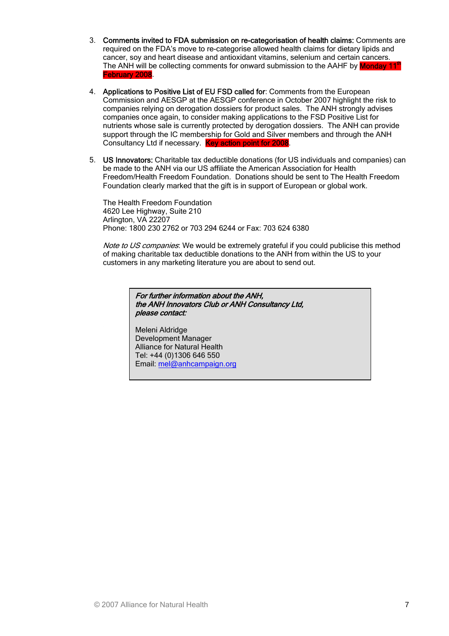- 3. Comments invited to FDA submission on re-categorisation of health claims: Comments are required on the FDA's move to re-categorise allowed health claims for dietary lipids and cancer, soy and heart disease and antioxidant vitamins, selenium and certain cancers. The ANH will be collecting comments for onward submission to the AAHF by **Monday 11<sup>th</sup>** February 2008.
- 4. Applications to Positive List of EU FSD called for: Comments from the European Commission and AESGP at the AESGP conference in October 2007 highlight the risk to companies relying on derogation dossiers for product sales. The ANH strongly advises companies once again, to consider making applications to the FSD Positive List for nutrients whose sale is currently protected by derogation dossiers. The ANH can provide support through the IC membership for Gold and Silver members and through the ANH Consultancy Ltd if necessary. Key action point for 2008
- 5. US Innovators: Charitable tax deductible donations (for US individuals and companies) can be made to the ANH via our US affiliate the American Association for Health Freedom/Health Freedom Foundation. Donations should be sent to The Health Freedom Foundation clearly marked that the gift is in support of European or global work.

The Health Freedom Foundation 4620 Lee Highway, Suite 210 Arlington, VA 22207 Phone: 1800 230 2762 or 703 294 6244 or Fax: 703 624 6380

Note to US companies: We would be extremely grateful if you could publicise this method of making charitable tax deductible donations to the ANH from within the US to your customers in any marketing literature you are about to send out.

> For further information about the ANH, the ANH Innovators Club or ANH Consultancy Ltd, please contact:

Meleni Aldridge Development Manager Alliance for Natural Health Tel: +44 (0)1306 646 550 Email: [mel@anhcampaign.org](mailto:mel@anhcampaign.org)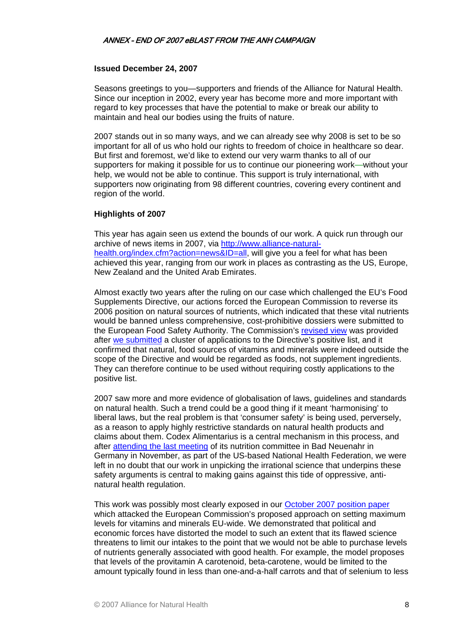### **Issued December 24, 2007**

Seasons greetings to you—supporters and friends of the Alliance for Natural Health. Since our inception in 2002, every year has become more and more important with regard to key processes that have the potential to make or break our ability to maintain and heal our bodies using the fruits of nature.

2007 stands out in so many ways, and we can already see why 2008 is set to be so important for all of us who hold our rights to freedom of choice in healthcare so dear. But first and foremost, we'd like to extend our very warm thanks to all of our supporters for making it possible for us to continue our pioneering work**—**without your help, we would not be able to continue. This support is truly international, with supporters now originating from 98 different countries, covering every continent and region of the world.

### **Highlights of 2007**

This year has again seen us extend the bounds of our work. A quick run through our archive of news items in 2007, via [http://www.alliance-natural](http://www.alliance-natural-health.org/index.cfm?action=news&ID=all)[health.org/index.cfm?action=news&ID=all](http://www.alliance-natural-health.org/index.cfm?action=news&ID=all), will give you a feel for what has been achieved this year, ranging from our work in places as contrasting as the US, Europe, New Zealand and the United Arab Emirates.

Almost exactly two years after the ruling on our case which challenged the EU's Food Supplements Directive, our actions forced the European Commission to reverse its 2006 position on natural sources of nutrients, which indicated that these vital nutrients would be banned unless comprehensive, cost-prohibitive dossiers were submitted to the European Food Safety Authority. The Commission's [revised view](http://www.alliance-natural-health.org/index.cfm?action=news&ID=288) was provided after [we submitted](http://www.alliance-natural-health.org/index.cfm?action=news&ID=274) a cluster of applications to the Directive's positive list, and it confirmed that natural, food sources of vitamins and minerals were indeed outside the scope of the Directive and would be regarded as foods, not supplement ingredients. They can therefore continue to be used without requiring costly applications to the positive list.

2007 saw more and more evidence of globalisation of laws, guidelines and standards on natural health. Such a trend could be a good thing if it meant 'harmonising' to liberal laws, but the real problem is that 'consumer safety' is being used, perversely, as a reason to apply highly restrictive standards on natural health products and claims about them. Codex Alimentarius is a central mechanism in this process, and after [attending the last meeting](http://www.alliance-natural-health.org/index.cfm?action=news&ID=302) of its nutrition committee in Bad Neuenahr in Germany in November, as part of the US-based National Health Federation, we were left in no doubt that our work in unpicking the irrational science that underpins these safety arguments is central to making gains against this tide of oppressive, antinatural health regulation.

This work was possibly most clearly exposed in our [October 2007 position paper](http://www.alliance-natural-health.org/index.cfm?action=news&ID=299) which attacked the European Commission's proposed approach on setting maximum levels for vitamins and minerals EU-wide. We demonstrated that political and economic forces have distorted the model to such an extent that its flawed science threatens to limit our intakes to the point that we would not be able to purchase levels of nutrients generally associated with good health. For example, the model proposes that levels of the provitamin A carotenoid, beta-carotene, would be limited to the amount typically found in less than one-and-a-half carrots and that of selenium to less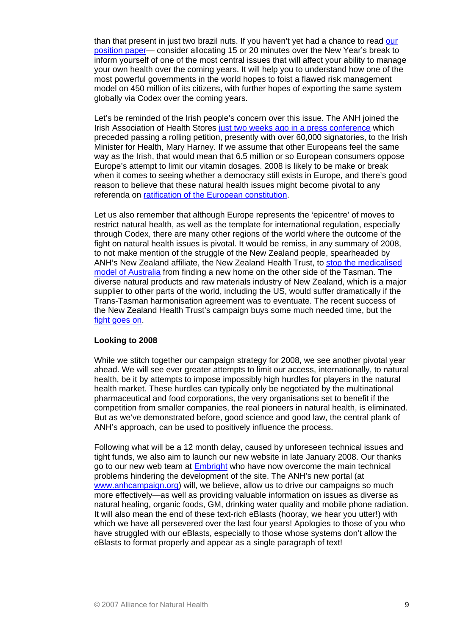than that present in just two brazil nuts. If you haven't yet had a chance to read our [position paper—](http://www.alliance-natural-health.org/_docs/ANHwebsiteDoc_290.pdf) consider allocating 15 or 20 minutes over the New Year's break to inform yourself of one of the most central issues that will affect your ability to manage your own health over the coming years. It will help you to understand how one of the most powerful governments in the world hopes to foist a flawed risk management model on 450 million of its citizens, with further hopes of exporting the same system globally via Codex over the coming years.

Let's be reminded of the Irish people's concern over this issue. The ANH joined the Irish Association of Health Stores [just two weeks ago in a press conference](http://www.alliance-natural-health.org/index.cfm?action=news&ID=305) which preceded passing a rolling petition, presently with over 60,000 signatories, to the Irish Minister for Health, Mary Harney. If we assume that other Europeans feel the same way as the Irish, that would mean that 6.5 million or so European consumers oppose Europe's attempt to limit our vitamin dosages. 2008 is likely to be make or break when it comes to seeing whether a democracy still exists in Europe, and there's good reason to believe that these natural health issues might become pivotal to any referenda on [ratification of the European constitution](http://news.bbc.co.uk/1/hi/world/europe/3954327.stm).

Let us also remember that although Europe represents the 'epicentre' of moves to restrict natural health, as well as the template for international regulation, especially through Codex, there are many other regions of the world where the outcome of the fight on natural health issues is pivotal. It would be remiss, in any summary of 2008, to not make mention of the struggle of the New Zealand people, spearheaded by ANH's New Zealand affiliate, the New Zealand Health Trust, to [stop the medicalised](http://www.alliance-natural-health.org/index.cfm?action=news&ID=279)  [model of Australia](http://www.alliance-natural-health.org/index.cfm?action=news&ID=279) from finding a new home on the other side of the Tasman. The diverse natural products and raw materials industry of New Zealand, which is a major supplier to other parts of the world, including the US, would suffer dramatically if the Trans-Tasman harmonisation agreement was to eventuate. The recent success of the New Zealand Health Trust's campaign buys some much needed time, but the [fight goes on.](http://www.alliance-natural-health.org/index.cfm?action=news&ID=287)

### **Looking to 2008**

While we stitch together our campaign strategy for 2008, we see another pivotal year ahead. We will see ever greater attempts to limit our access, internationally, to natural health, be it by attempts to impose impossibly high hurdles for players in the natural health market. These hurdles can typically only be negotiated by the multinational pharmaceutical and food corporations, the very organisations set to benefit if the competition from smaller companies, the real pioneers in natural health, is eliminated. But as we've demonstrated before, good science and good law, the central plank of ANH's approach, can be used to positively influence the process.

Following what will be a 12 month delay, caused by unforeseen technical issues and tight funds, we also aim to launch our new website in late January 2008. Our thanks go to our new web team at **Embright** who have now overcome the main technical problems hindering the development of the site. The ANH's new portal (at [www.anhcampaign.org\)](http://www.anhcampaign.org/) will, we believe, allow us to drive our campaigns so much more effectively—as well as providing valuable information on issues as diverse as natural healing, organic foods, GM, drinking water quality and mobile phone radiation. It will also mean the end of these text-rich eBlasts (hooray, we hear you utter!) with which we have all persevered over the last four years! Apologies to those of you who have struggled with our eBlasts, especially to those whose systems don't allow the eBlasts to format properly and appear as a single paragraph of text!